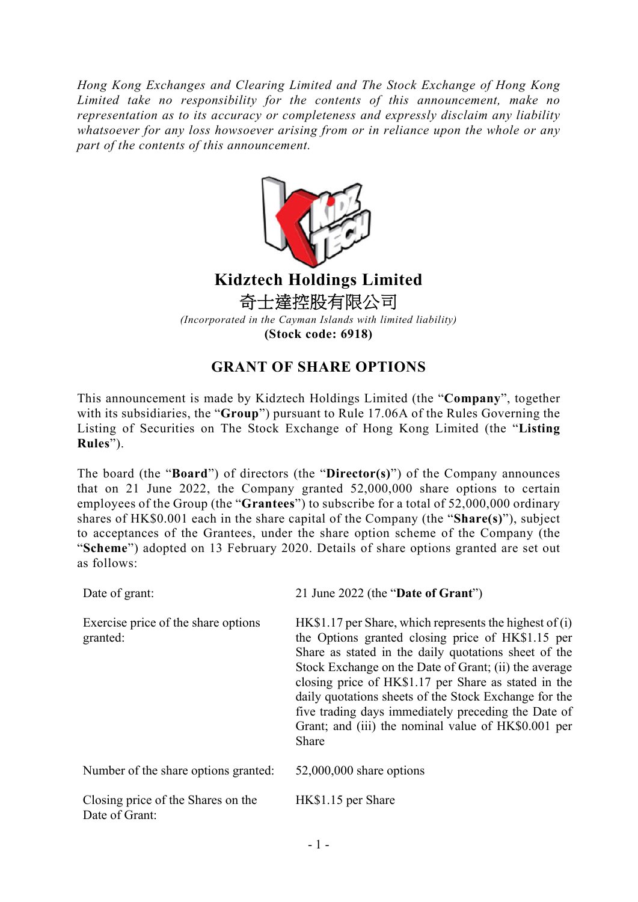*Hong Kong Exchanges and Clearing Limited and The Stock Exchange of Hong Kong Limited take no responsibility for the contents of this announcement, make no representation as to its accuracy or completeness and expressly disclaim any liability whatsoever for any loss howsoever arising from or in reliance upon the whole or any part of the contents of this announcement.*



## **Kidztech Holdings Limited** 奇士達控股有限公司

*(Incorporated in the Cayman Islands with limited liability)* **(Stock code: 6918)**

## **GRANT OF SHARE OPTIONS**

This announcement is made by Kidztech Holdings Limited (the "**Company**", together with its subsidiaries, the "**Group**") pursuant to Rule 17.06A of the Rules Governing the Listing of Securities on The Stock Exchange of Hong Kong Limited (the "**Listing Rules**").

The board (the "**Board**") of directors (the "**Director(s)**") of the Company announces that on 21 June 2022, the Company granted 52,000,000 share options to certain employees of the Group (the "**Grantees**") to subscribe for a total of 52,000,000 ordinary shares of HK\$0.001 each in the share capital of the Company (the "**Share(s)**"), subject to acceptances of the Grantees, under the share option scheme of the Company (the "**Scheme**") adopted on 13 February 2020. Details of share options granted are set out as follows:

| Date of grant:                                       | 21 June 2022 (the "Date of Grant")                                                                                                                                                                                                                                                                                                                                                                                                                                     |
|------------------------------------------------------|------------------------------------------------------------------------------------------------------------------------------------------------------------------------------------------------------------------------------------------------------------------------------------------------------------------------------------------------------------------------------------------------------------------------------------------------------------------------|
| Exercise price of the share options<br>granted:      | $HK$1.17$ per Share, which represents the highest of (i)<br>the Options granted closing price of HK\$1.15 per<br>Share as stated in the daily quotations sheet of the<br>Stock Exchange on the Date of Grant; (ii) the average<br>closing price of HK\$1.17 per Share as stated in the<br>daily quotations sheets of the Stock Exchange for the<br>five trading days immediately preceding the Date of<br>Grant; and (iii) the nominal value of HK\$0.001 per<br>Share |
| Number of the share options granted:                 | $52,000,000$ share options                                                                                                                                                                                                                                                                                                                                                                                                                                             |
| Closing price of the Shares on the<br>Date of Grant: | HK\$1.15 per Share                                                                                                                                                                                                                                                                                                                                                                                                                                                     |